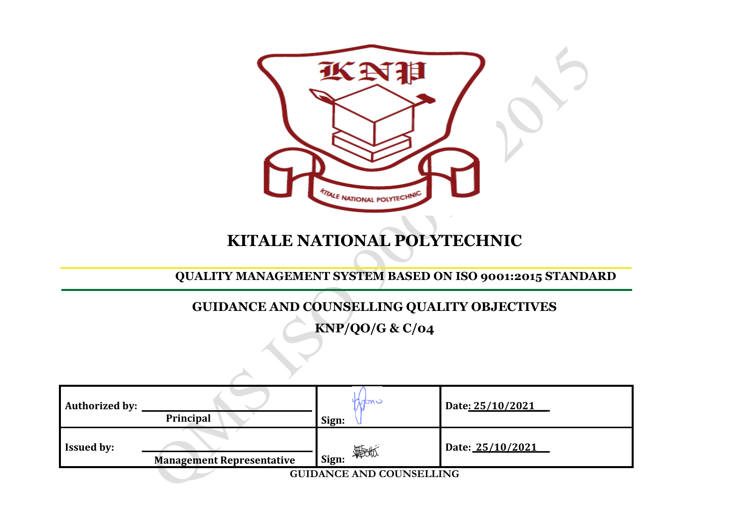